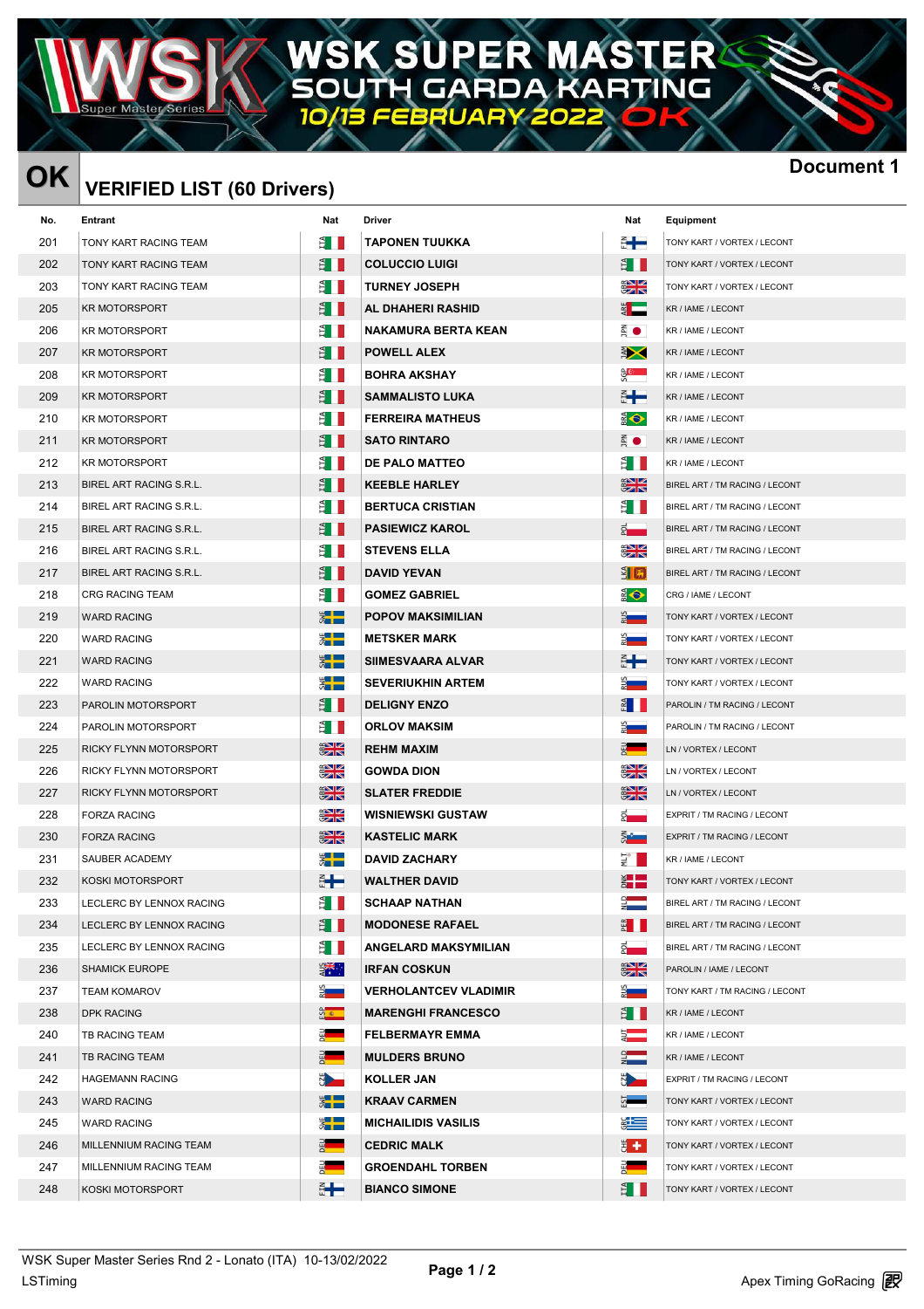## **ER MAST** p S  $\mathbb{Z}^4$ **I GARDA KARTING** Ol л

מווׂ⊏ Г

## $\overline{\text{OK}}$   $\overline{\text{VERIFIED LIST (60 Drivers)}}$

| <b>OK</b> | <b>VERIFIED LIST (60 Drivers)</b> | <b>Docu</b>                  |                              |                           |                                |
|-----------|-----------------------------------|------------------------------|------------------------------|---------------------------|--------------------------------|
| No.       | Entrant                           | Nat                          | Driver                       | Nat                       | Equipment                      |
| 201       | TONY KART RACING TEAM             | Ê I                          | <b>TAPONEN TUUKKA</b>        | €╋                        | TONY KART / VORTEX / LECONT    |
| 202       | TONY KART RACING TEAM             | Ê I II                       | <b>COLUCCIO LUIGI</b>        | Ê II                      | TONY KART / VORTEX / LECONT    |
| 203       | TONY KART RACING TEAM             | ÈШ                           | <b>TURNEY JOSEPH</b>         | $rac{1}{2}$               | TONY KART / VORTEX / LECONT    |
| 205       | <b>KR MOTORSPORT</b>              | Ê I II                       | AL DHAHERI RASHID            | $rac{1}{2}$               | KR / IAME / LECONT             |
| 206       | <b>KR MOTORSPORT</b>              | ÈII                          | <b>NAKAMURA BERTA KEAN</b>   | Ā O                       | KR / IAME / LECONT             |
| 207       | <b>KR MOTORSPORT</b>              | Ê II                         | <b>POWELL ALEX</b>           | <b>南大</b>                 | KR / IAME / LECONT             |
| 208       | <b>KR MOTORSPORT</b>              | Ê I I                        | <b>BOHRA AKSHAY</b>          | မို့<br>မိ                | KR / IAME / LECONT             |
| 209       | <b>KR MOTORSPORT</b>              | ÈН                           | <b>SAMMALISTO LUKA</b>       | ã <del>Le</del>           | KR / IAME / LECONT             |
| 210       | <b>KR MOTORSPORT</b>              | ÈII                          | <b>FERREIRA MATHEUS</b>      | $\bigoplus$               | KR / IAME / LECONT             |
| 211       | <b>KR MOTORSPORT</b>              | Ê I II                       | <b>SATO RINTARO</b>          | $\mathbb{R}$ $\bullet$    | KR / IAME / LECONT             |
| 212       | <b>KR MOTORSPORT</b>              | Ê II                         | <b>DE PALO MATTEO</b>        | Ê I                       | KR / IAME / LECONT             |
| 213       | BIREL ART RACING S.R.L.           | Ê II                         | <b>KEEBLE HARLEY</b>         | $rac{2}{3}$               | BIREL ART / TM RACING / LECONT |
| 214       | BIREL ART RACING S.R.L.           | Ê II                         | <b>BERTUCA CRISTIAN</b>      | É I                       | BIREL ART / TM RACING / LECONT |
| 215       | BIREL ART RACING S.R.L.           | ÈII                          | <b>PASIEWICZ KAROL</b>       | $\bar{z}$ .               | BIREL ART / TM RACING / LECONT |
| 216       | BIREL ART RACING S.R.L.           | ÈH                           | <b>STEVENS ELLA</b>          | $\frac{1}{2}$             | BIREL ART / TM RACING / LECONT |
| 217       | BIREL ART RACING S.R.L.           | Ê II                         | <b>DAVID YEVAN</b>           | $\frac{3}{2}$ $\boxed{1}$ | BIREL ART / TM RACING / LECONT |
| 218       | CRG RACING TEAM                   | Ê I II                       | <b>GOMEZ GABRIEL</b>         | $\bullet$                 | CRG / IAME / LECONT            |
| 219       | <b>WARD RACING</b>                | $\frac{1}{2}$                | <b>POPOV MAKSIMILIAN</b>     | $rac{2}{\sqrt{2}}$        | TONY KART / VORTEX / LECONT    |
| 220       | <b>WARD RACING</b>                | ▓▐▆                          | <b>METSKER MARK</b>          | <u> ध</u>                 | TONY KART / VORTEX / LECONT    |
| 221       | <b>WARD RACING</b>                | $\frac{1}{2}$                | <b>SIIMESVAARA ALVAR</b>     | €╋                        | TONY KART / VORTEX / LECONT    |
| 222       | <b>WARD RACING</b>                | ▓▐▆                          | <b>SEVERIUKHIN ARTEM</b>     | ▓▅▅                       | TONY KART / VORTEX / LECONT    |
| 223       | PAROLIN MOTORSPORT                | Ê II                         | <b>DELIGNY ENZO</b>          | $rac{4}{5}$               | PAROLIN / TM RACING / LECONT   |
| 224       | PAROLIN MOTORSPORT                | Ê II                         | <b>ORLOV MAKSIM</b>          | $rac{1}{2}$               | PAROLIN / TM RACING / LECONT   |
| 225       | RICKY FLYNN MOTORSPORT            | $\frac{20}{3}$               | <b>REHM MAXIM</b>            | $\frac{1}{2}$             | LN / VORTEX / LECONT           |
| 226       | RICKY FLYNN MOTORSPORT            | $\frac{1}{2}$                | <b>GOWDA DION</b>            | $rac{1}{2}$               | LN / VORTEX / LECONT           |
| 227       | RICKY FLYNN MOTORSPORT            | <u> XNZ</u><br>$\frac{m}{2}$ | <b>SLATER FREDDIE</b>        | $\frac{1}{2}$             | LN / VORTEX / LECONT           |
| 228       | <b>FORZA RACING</b>               | $\frac{1}{2}$                | <b>WISNIEWSKI GUSTAW</b>     | $\bar{a}$                 | EXPRIT / TM RACING / LECONT    |
| 230       | <b>FORZA RACING</b>               | $\frac{1}{2}$                | <b>KASTELIC MARK</b>         | ā.                        | EXPRIT / TM RACING / LECONT    |
| 231       | SAUBER ACADEMY                    | 4 L L<br>ਯ∎∎                 | <b>DAVID ZACHARY</b>         | ₹ ∎                       | KR / IAME / LECONT             |
| 232       | KOSKI MOTORSPORT                  | ă <b>H</b>                   | <b>WALTHER DAVID</b>         | $\frac{1}{2}$             | TONY KART / VORTEX / LECONT    |
| 233       | LECLERC BY LENNOX RACING          | Ê I                          | <b>SCHAAP NATHAN</b>         | $\frac{1}{2}$             | BIREL ART / TM RACING / LECONT |
| 234       | LECLERC BY LENNOX RACING          | E I                          | <b>MODONESE RAFAEL</b>       | $E$ $\blacksquare$        | BIREL ART / TM RACING / LECONT |
| 235       | LECLERC BY LENNOX RACING          | Ê II                         | <b>ANGELARD MAKSYMILIAN</b>  | $\frac{1}{2}$             | BIREL ART / TM RACING / LECONT |
| 236       | <b>SHAMICK EUROPE</b>             | $\frac{1}{2}$                | <b>IRFAN COSKUN</b>          | $rac{2}{3}$               | PAROLIN / IAME / LECONT        |
| 237       | <b>TEAM KOMAROV</b>               | $\frac{5}{2}$                | <b>VERHOLANTCEV VLADIMIR</b> |                           | TONY KART / TM RACING / LECONT |
| 238       | <b>DPK RACING</b>                 | ကို $\ast$                   | <b>MARENGHI FRANCESCO</b>    | Ê II                      | KR / IAME / LECONT             |
| 240       | <b>TB RACING TEAM</b>             | $rac{1}{2}$                  | <b>FELBERMAYR EMMA</b>       | $\frac{1}{2}$             | KR / IAME / LECONT             |
| 241       | TB RACING TEAM                    | $rac{1}{2}$                  | <b>MULDERS BRUNO</b>         | $\frac{1}{2}$             | KR / IAME / LECONT             |
| 242       | <b>HAGEMANN RACING</b>            | N <sub>2</sub>               | <b>KOLLER JAN</b>            | <b>NAME</b>               | EXPRIT / TM RACING / LECONT    |
| 243       | <b>WARD RACING</b>                | $\frac{1}{2}$                | <b>KRAAV CARMEN</b>          | 5                         | TONY KART / VORTEX / LECONT    |
| 245       | <b>WARD RACING</b>                | $\frac{4}{3}$                | <b>MICHAILIDIS VASILIS</b>   | $\frac{3}{2}$             | TONY KART / VORTEX / LECONT    |
| 246       | MILLENNIUM RACING TEAM            | $rac{1}{2}$                  | <b>CEDRIC MALK</b>           | Ë÷.                       | TONY KART / VORTEX / LECONT    |
| 247       | MILLENNIUM RACING TEAM            | $\frac{3}{2}$                | <b>GROENDAHL TORBEN</b>      | $\frac{3}{2}$             | TONY KART / VORTEX / LECONT    |
| 248       | KOSKI MOTORSPORT                  | ₫┡                           | <b>BIANCO SIMONE</b>         | Ê I                       | TONY KART / VORTEX / LECONT    |
|           |                                   |                              |                              |                           |                                |

| Nat                  | <b>Equipment</b>               |
|----------------------|--------------------------------|
|                      | TONY KART / VORTEX / LECONT    |
|                      | TONY KART / VORTEX / LECONT    |
| ∐≰<br>ns             | TONY KART / VORTEX / LECONT    |
| ь                    | KR / IAME / LECONT             |
| $\bullet$            | KR / IAME / LECONT             |
| $\bm{\times}$        | KR / IAME / LECONT             |
| $\mathbb{C}$         | KR / IAME / LECONT             |
| ┿                    | KR / IAME / LECONT             |
| $\bullet$            | KR / IAME / LECONT             |
| $\bullet$            | KR / IAME / LECONT             |
|                      | KR / IAME / LECONT             |
| zn≂                  | BIREL ART / TM RACING / LECONT |
|                      | BIREL ART / TM RACING / LECONT |
|                      | BIREL ART / TM RACING / LECONT |
| NZ<br>zn             | BIREL ART / TM RACING / LECONT |
| 鳴                    | BIREL ART / TM RACING / LECONT |
| $\bullet$            | CRG / IAME / LECONT            |
|                      | TONY KART / VORTEX / LECONT    |
| --                   | TONY KART / VORTEX / LECONT    |
| ╈                    | TONY KART / VORTEX / LECONT    |
|                      | TONY KART / VORTEX / LECONT    |
|                      | PAROLIN / TM RACING / LECONT   |
|                      | PAROLIN / TM RACING / LECONT   |
|                      | LN / VORTEX / LECONT           |
| NØ<br>$\overline{Z}$ | LN / VORTEX / LECONT           |
| VZ<br>ZK             | LN / VORTEX / LECONT           |
|                      | EXPRIT / TM RACING / LECONT    |
| a.                   | EXPRIT / TM RACING / LECONT    |
|                      | KR / IAME / LECONT             |
|                      | TONY KART / VORTEX / LECONT    |
|                      | BIREL ART / TM RACING / LECONT |
|                      | BIREL ART / TM RACING / LECONT |
|                      | BIREL ART / TM RACING / LECONT |
| NZ<br>ZR             | PAROLIN / IAME / LECONT        |
| سيد                  | TONY KART / TM RACING / LECONT |
|                      | KR / IAME / LECONT             |
|                      | KR / IAME / LECONT             |
|                      | KR / IAME / LECONT             |
|                      | EXPRIT / TM RACING / LECONT    |
|                      | TONY KART / VORTEX / LECONT    |
|                      | TONY KART / VORTEX / LECONT    |
|                      | TONY KART / VORTEX / LECONT    |
|                      | TONY KART / VORTEX / LECONT    |
|                      | TONY KART / VORTEX / LECONT    |